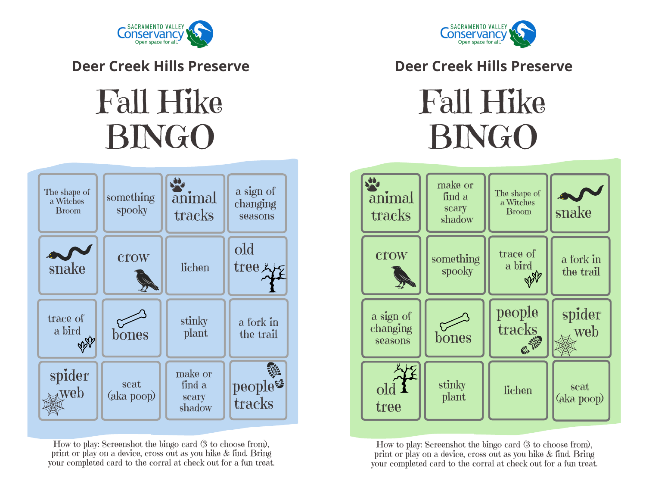

**Deer Creek Hills Preserve**

## Fall Hike BINGO



How to play: Screenshot the bingo card (3 to choose from), print or play on a device, cross out as you hike & find. Bring your completed card to the corral at check out for a fun treat.



## **Deer Creek Hills Preserve**

Fall Hike BINGO



How to play: Screenshot the bingo card (3 to choose from), print or play on a device, cross out as you hike & find. Bring your completed card to the corral at check out for a fun treat.